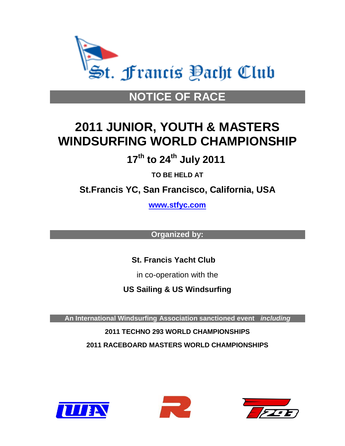

# **NOTICE OF RACE**

# **2011 JUNIOR, YOUTH & MASTERS WINDSURFING WORLD CHAMPIONSHIP**

 **17 th to 24th July 2011**

**TO BE HELD AT**

**St.Francis YC, San Francisco, California, USA**

**[www.stfyc.com](http://www.stfyc.com/)**

**Organized by:**

 **St. Francis Yacht Club**

in co-operation with the

**US Sailing & US Windsurfing** 

**An International Windsurfing Association sanctioned event** *including*

**2011 TECHNO 293 WORLD CHAMPIONSHIPS 2011 RACEBOARD MASTERS WORLD CHAMPIONSHIPS**





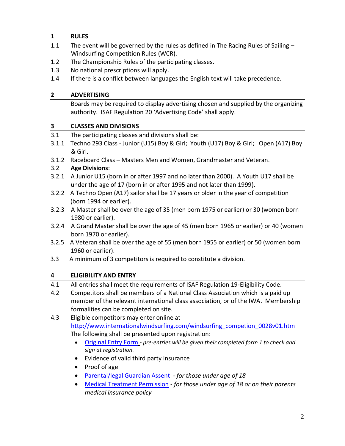## **1 RULES**

- 1.1 The event will be governed by the rules as defined in The Racing Rules of Sailing -Windsurfing Competition Rules (WCR).
- 1.2 The Championship Rules of the participating classes.
- 1.3 No national prescriptions will apply.
- 1.4 If there is a conflict between languages the English text will take precedence.

# **2 ADVERTISING**

Boards may be required to display advertising chosen and supplied by the organizing authority. ISAF Regulation 20 'Advertising Code' shall apply.

# **3 CLASSES AND DIVISIONS**

- 3.1 The participating classes and divisions shall be:
- 3.1.1 Techno 293 Class Junior (U15) Boy & Girl; Youth (U17) Boy & Girl; Open (A17) Boy & Girl.
- 3.1.2 Raceboard Class Masters Men and Women, Grandmaster and Veteran.

# 3.2 **Age Divisions**:

- 3.2.1 A Junior U15 (born in or after 1997 and no later than 2000). A Youth U17 shall be under the age of 17 (born in or after 1995 and not later than 1999).
- 3.2.2 A Techno Open (A17) sailor shall be 17 years or older in the year of competition (born 1994 or earlier).
- 3.2.3 A Master shall be over the age of 35 (men born 1975 or earlier) or 30 (women born 1980 or earlier).
- 3.2.4 A Grand Master shall be over the age of 45 (men born 1965 or earlier) or 40 (women born 1970 or earlier).
- 3.2.5 A Veteran shall be over the age of 55 (men born 1955 or earlier) or 50 (women born 1960 or earlier).
- 3.3 A minimum of 3 competitors is required to constitute a division.

# **4 ELIGIBILITY AND ENTRY**

4.1 All entries shall meet the requirements of ISAF Regulation 19-Eligibility Code.

- 4.2 Competitors shall be members of a National Class Association which is a paid up member of the relevant international class association, or of the IWA. Membership formalities can be completed on site.
- 4.3 Eligible competitors may enter online at [http://www.internationalwindsurfing.com/windsurfing\\_competion\\_0028v01.htm](http://www.internationalwindsurfing.com/windsurfing_competion_0028v01.htm) The following shall be presented upon registration:
	- [Original Entry Form](http://www.internationalwindsurfing.com/userfiles/documents/2011_JYM_Worlds_San_Francisco_Form_1.pdf) *- pre-entries will be given their completed form 1 to check and sign at registration.*
	- Evidence of valid third party insurance
	- Proof of age
	- [Parental/legal Guardian Assent](http://www.internationalwindsurfing.com/userfiles/documents/2011_JYM_Worlds_San_Francisco_Form_2.pdf) *- for those under age of 18*
	- [Medical Treatment Permission](http://www.internationalwindsurfing.com/userfiles/documents/2011_JYM_Worlds_San_Francisco_Form_3.pdf) *- for those under age of 18 or on their parents medical insurance policy*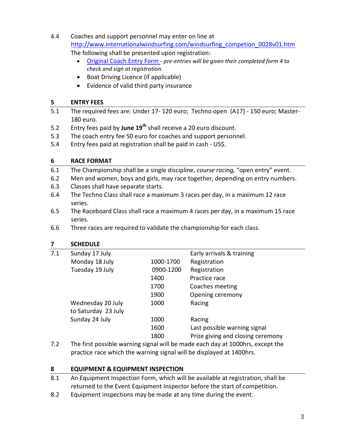- 4.4 Coaches and support personnel may enter on line at [http://www.internationalwindsurfing.com/windsurfing\\_competion\\_0028v01.htm](http://www.internationalwindsurfing.com/windsurfing_competion_0028v01.htm) The following shall be presented upon registration:
	- [Original Coach Entry Form](http://www.internationalwindsurfing.com/userfiles/documents/2011_JYM_Worlds_San_Francisco_Form_4.pdf) *- pre-entries will be given their completed form 4 to check and sign at registration.*
	- Boat Driving Licence (if applicable)
	- Evidence of valid third party insurance

### **5 ENTRY FEES**

- 5.1 The required fees are: Under 17- 120 euro; Techno open (A17) 150 euro; Master-180 euro.
- 5.2 Entry fees paid by **June 19th** shall receive a 20 euro discount.
- 5.3 The coach entry fee 50 euro for coaches and support personnel.
- 5.4 Entry fees paid at registration shall be paid in cash US\$.

### **6 RACE FORMAT**

- 6.1 The Championship shall be a single discipline, *course racing,* "open entry" event.
- 6.2 Men and women, boys and girls, may race together, depending on entry numbers.
- 6.3 Classes shall have separate starts.
- 6.4 The Techno Class shall race a maximum 3 races per day, in a maximum 12 race series.
- 6.5 The Raceboard Class shall race a maximum 4 races per day, in a maximum 15 race series.
- 6.6 Three races are required to validate the championship for each class.

#### **7 SCHEDULE**

| 7.1 | Sunday 17 July                                                                                     |           | Early arrivals & training         |
|-----|----------------------------------------------------------------------------------------------------|-----------|-----------------------------------|
|     | Monday 18 July                                                                                     | 1000-1700 | Registration                      |
|     | Tuesday 19 July                                                                                    | 0900-1200 | Registration                      |
|     |                                                                                                    | 1400      | Practice race                     |
|     |                                                                                                    | 1700      | Coaches meeting                   |
|     |                                                                                                    | 1900      | Opening ceremony                  |
|     | Wednesday 20 July                                                                                  | 1000      | Racing                            |
|     | to Saturday 23 July                                                                                |           |                                   |
|     | Sunday 24 July                                                                                     | 1000      | Racing                            |
|     |                                                                                                    | 1600      | Last possible warning signal      |
|     |                                                                                                    | 1800      | Prize giving and closing ceremony |
|     | ∓bo from a contribution of the collection of the control of the control of 4,000 of the control of |           |                                   |

7.2 The first possible warning signal will be made each day at 1000hrs, except the practice race which the warning signal will be displayed at 1400hrs.

### **8 EQUIPMENT & EQUIPMENT INSPECTION**

- 8.1 An Equipment Inspection Form, which will be available at registration, shall be returned to the Event Equipment Inspector before the start of competition.
- 8.2 Equipment inspections may be made at any time during the event.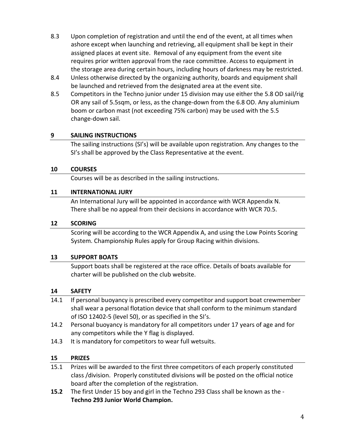- 8.3 Upon completion of registration and until the end of the event, at all times when ashore except when launching and retrieving, all equipment shall be kept in their assigned places at event site. Removal of any equipment from the event site requires prior written approval from the race committee. Access to equipment in the storage area during certain hours, including hours of darkness may be restricted.
- 8.4 Unless otherwise directed by the organizing authority, boards and equipment shall be launched and retrieved from the designated area at the event site.
- 8.5 Competitors in the Techno junior under 15 division may use either the 5.8 OD sail/rig OR any sail of 5.5sqm, or less, as the change‐down from the 6.8 OD. Any aluminium boom or carbon mast (not exceeding 75% carbon) may be used with the 5.5 change‐down sail.

# **9 SAILING INSTRUCTIONS**

The sailing instructions (SI's) will be available upon registration. Any changes to the SI's shall be approved by the Class Representative at the event.

### **10 COURSES**

Courses will be as described in the sailing instructions.

### **11 INTERNATIONAL JURY**

An International Jury will be appointed in accordance with WCR Appendix N. There shall be no appeal from their decisions in accordance with WCR 70.5.

### **12 SCORING**

Scoring will be according to the WCR Appendix A, and using the Low Points Scoring System. Championship Rules apply for Group Racing within divisions.

### **13 SUPPORT BOATS**

Support boats shall be registered at the race office. Details of boats available for charter will be published on the club website.

### **14 SAFETY**

- 14.1 If personal buoyancy is prescribed every competitor and support boat crewmember shall wear a personal flotation device that shall conform to the minimum standard of ISO 12402-5 (level 50), or as specified in the SI's.
- 14.2 Personal buoyancy is mandatory for all competitors under 17 years of age and for any competitors while the Y flag is displayed.
- 14.3 It is mandatory for competitors to wear full wetsuits.

# **15 PRIZES**

15.1 Prizes will be awarded to the first three competitors of each properly constituted class /division. Properly constituted divisions will be posted on the official notice board after the completion of the registration.

**15.2** The first Under 15 boy and girl in the Techno 293 Class shall be known as the - **Techno 293 Junior World Champion.**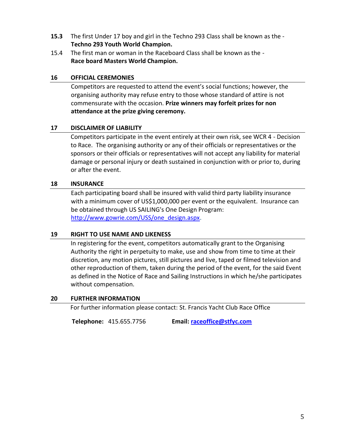- **15.3** The first Under 17 boy and girl in the Techno 293 Class shall be known as the **Techno 293 Youth World Champion.**
- 15.4 The first man or woman in the Raceboard Class shall be known as the **Race board Masters World Champion.**

#### **16 OFFICIAL CEREMONIES**

Competitors are requested to attend the event's social functions; however, the organising authority may refuse entry to those whose standard of attire is not commensurate with the occasion. **Prize winners may forfeit prizes for non attendance at the prize giving ceremony.**

#### **17 DISCLAIMER OF LIABILITY**

Competitors participate in the event entirely at their own risk, see WCR 4 - Decision to Race. The organising authority or any of their officials or representatives or the sponsors or their officials or representatives will not accept any liability for material damage or personal injury or death sustained in conjunction with or prior to, during or after the event.

#### **18 INSURANCE**

Each participating board shall be insured with valid third party liability insurance with a minimum cover of US\$1,000,000 per event or the equivalent. Insurance can be obtained through US SAILING's One Design Program: [http://www.gowrie.com/USS/one\\_design.aspx.](http://www.gowrie.com/USS/one_design.aspx)

#### **19 RIGHT TO USE NAME AND LIKENESS**

In registering for the event, competitors automatically grant to the Organising Authority the right in perpetuity to make, use and show from time to time at their discretion, any motion pictures, still pictures and live, taped or filmed television and other reproduction of them, taken during the period of the event, for the said Event as defined in the Notice of Race and Sailing Instructions in which he/she participates without compensation.

#### **20 FURTHER INFORMATION**

For further information please contact: St. Francis Yacht Club Race Office

 **Telephone:** 415.655.7756 **Email[: raceoffice@stfyc.com](mailto:raceoffice@stfyc.com)**